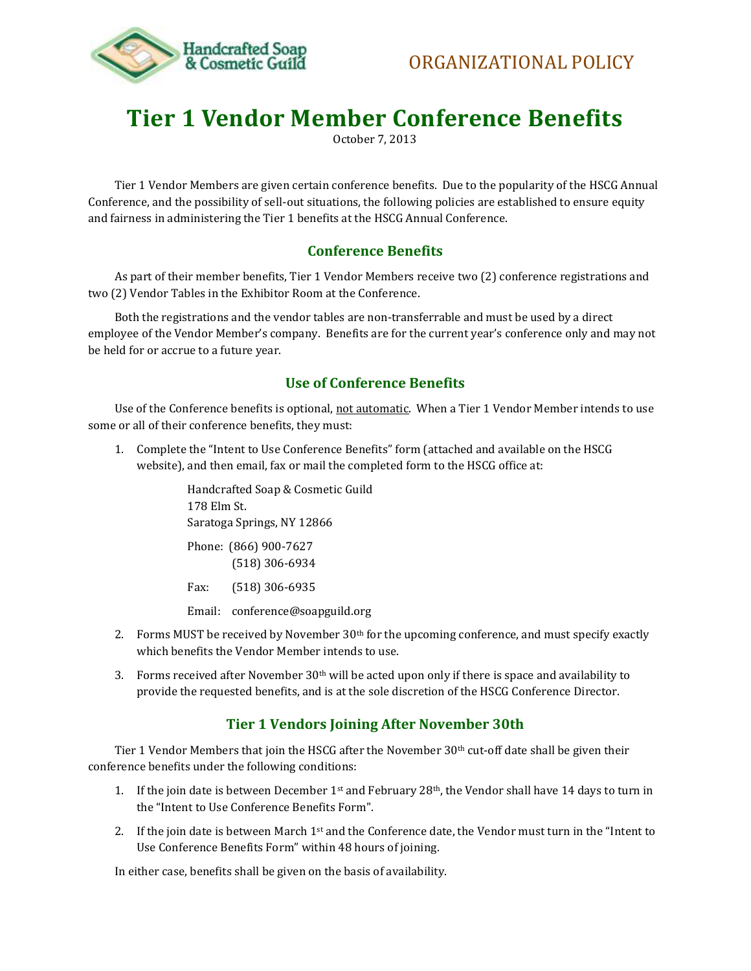

# **Tier 1 Vendor Member Conference Benefits**

October 7, 2013

Tier 1 Vendor Members are given certain conference benefits. Due to the popularity of the HSCG Annual Conference, and the possibility of sell-out situations, the following policies are established to ensure equity and fairness in administering the Tier 1 benefits at the HSCG Annual Conference.

# **Conference Benefits**

As part of their member benefits, Tier 1 Vendor Members receive two (2) conference registrations and two (2) Vendor Tables in the Exhibitor Room at the Conference.

Both the registrations and the vendor tables are non-transferrable and must be used by a direct employee of the Vendor Member's company. Benefits are for the current year's conference only and may not be held for or accrue to a future year.

## **Use of Conference Benefits**

Use of the Conference benefits is optional, not automatic. When a Tier 1 Vendor Member intends to use some or all of their conference benefits, they must:

1. Complete the "Intent to Use Conference Benefits" form (attached and available on the HSCG website), and then email, fax or mail the completed form to the HSCG office at:

> Handcrafted Soap & Cosmetic Guild 178 Elm St. Saratoga Springs, NY 12866 Phone: (866) 900-7627 (518) 306-6934 Fax: (518) 306-6935

Email: conference@soapguild.org

- 2. Forms MUST be received by November  $30<sup>th</sup>$  for the upcoming conference, and must specify exactly which benefits the Vendor Member intends to use.
- 3. Forms received after November  $30<sup>th</sup>$  will be acted upon only if there is space and availability to provide the requested benefits, and is at the sole discretion of the HSCG Conference Director.

## **Tier 1 Vendors Joining After November 30th**

Tier 1 Vendor Members that join the HSCG after the November 30th cut-off date shall be given their conference benefits under the following conditions:

- 1. If the join date is between December 1st and February 28<sup>th</sup>, the Vendor shall have 14 days to turn in the "Intent to Use Conference Benefits Form".
- 2. If the join date is between March  $1<sup>st</sup>$  and the Conference date, the Vendor must turn in the "Intent to Use Conference Benefits Form" within 48 hours of joining.

In either case, benefits shall be given on the basis of availability.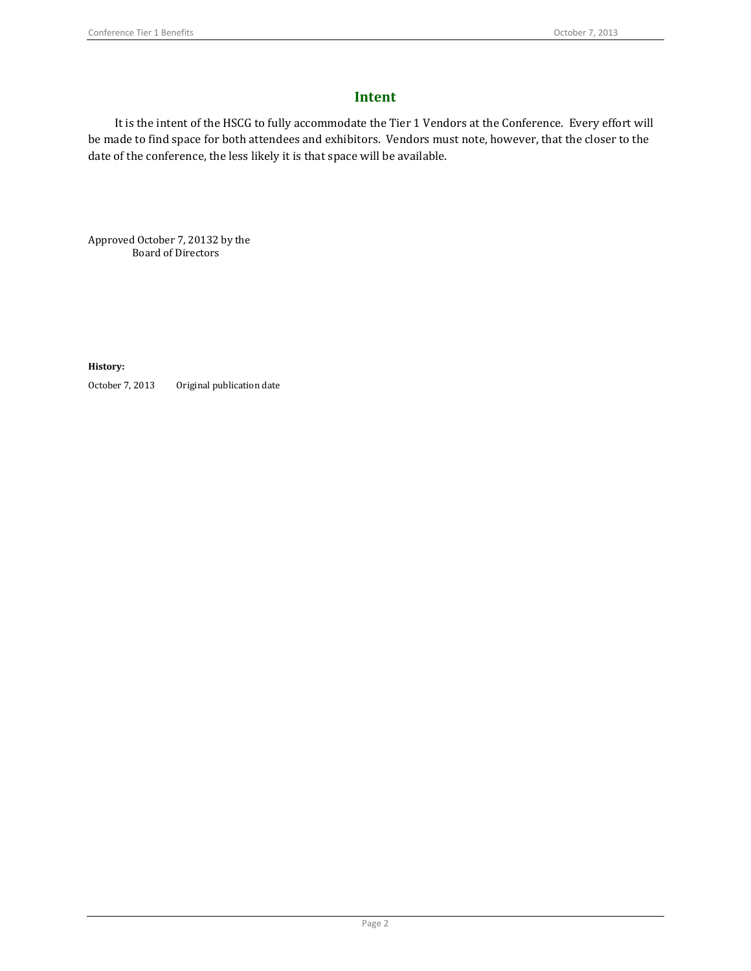## **Intent**

It is the intent of the HSCG to fully accommodate the Tier 1 Vendors at the Conference. Every effort will be made to find space for both attendees and exhibitors. Vendors must note, however, that the closer to the date of the conference, the less likely it is that space will be available.

Approved October 7, 20132 by the Board of Directors

**History:**

October 7, 2013 Original publication date